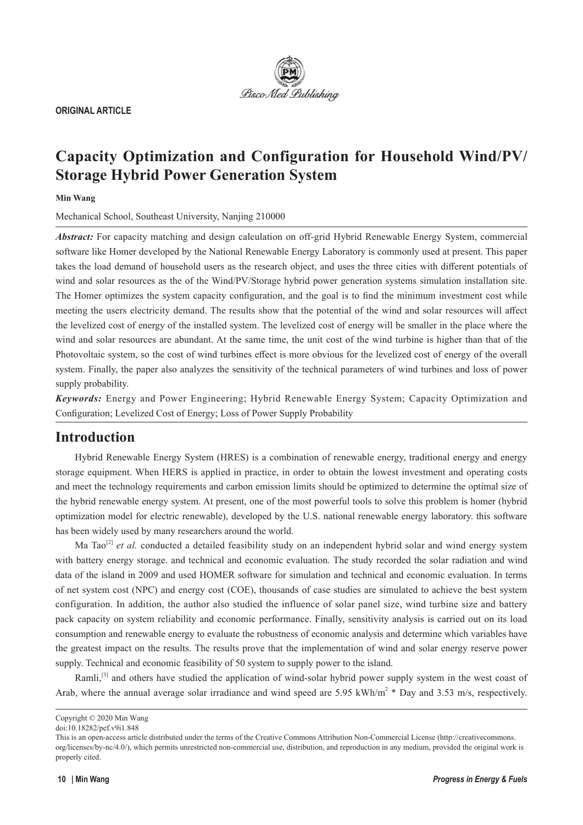**ORIGINAL ARTICLE**

# **Capacity Optimization and Configuration for Household Wind/PV/ Storage Hybrid Power Generation System**

#### **Min Wang**

Mechanical School, Southeast University, Nanjing 210000

*Abstract:* For capacity matching and design calculation on off-grid Hybrid Renewable Energy System, commercial software like Homer developed by the National Renewable Energy Laboratory is commonly used at present. This paper takes the load demand of household users as the research object, and uses the three cities with different potentials of wind and solar resources as the of the Wind/PV/Storage hybrid power generation systems simulation installation site. The Homer optimizes the system capacity configuration, and the goal is to find the minimum investment cost while meeting the users electricity demand. The results show that the potential of the wind and solar resources will affect the levelized cost of energy of the installed system. The levelized cost of energy will be smaller in the place where the wind and solar resources are abundant. At the same time, the unit cost of the wind turbine is higher than that of the Photovoltaic system, so the cost of wind turbines effect is more obvious for the levelized cost of energy of the overall system. Finally, the paper also analyzes the sensitivity of the technical parameters of wind turbines and loss of power supply probability.

*Keywords:* Energy and Power Engineering; Hybrid Renewable Energy System; Capacity Optimization and Configuration; Levelized Cost of Energy; Loss of Power Supply Probability

## **Introduction**

Hybrid Renewable Energy System (HRES) is a combination of renewable energy, traditional energy and energy storage equipment. When HERS is applied in practice, in order to obtain the lowest investment and operating costs and meet the technology requirements and carbon emission limits should be optimized to determine the optimal size of the hybrid renewable energy system. At present, one of the most powerful tools to solve this problem is homer (hybrid optimization model for electric renewable), developed by the U.S. national renewable energy laboratory. this software has been widely used by many researchers around the world.

Ma Tao<sup>[2]</sup> *et al.* conducted a detailed feasibility study on an independent hybrid solar and wind energy system with battery energy storage. and technical and economic evaluation. The study recorded the solar radiation and wind data of the island in 2009 and used HOMER software for simulation and technical and economic evaluation. In terms of net system cost (NPC) and energy cost (COE), thousands of case studies are simulated to achieve the best system configuration. In addition, the author also studied the influence of solar panel size, wind turbine size and battery pack capacity on system reliability and economic performance. Finally, sensitivity analysis is carried out on its load consumption and renewable energy to evaluate the robustness of economic analysis and determine which variables have the greatest impact on the results. The results prove that the implementation of wind and solar energy reserve power supply. Technical and economic feasibility of 50 system to supply power to the island.

Ramli,<sup>[3]</sup> and others have studied the application of wind-solar hybrid power supply system in the west coast of Arab, where the annual average solar irradiance and wind speed are 5.95 kWh/ $m^2 *$  Day and 3.53 m/s, respectively.



Copyright © 2020 Min Wang

doi:10.18282/pef.v9i1.848

This is an open-access article distributed under the terms of the Creative Commons Attribution Non-Commercial License (http://creativecommons. org/licenses/by-nc/4.0/), which permits unrestricted non-commercial use, distribution, and reproduction in any medium, provided the original work is properly cited.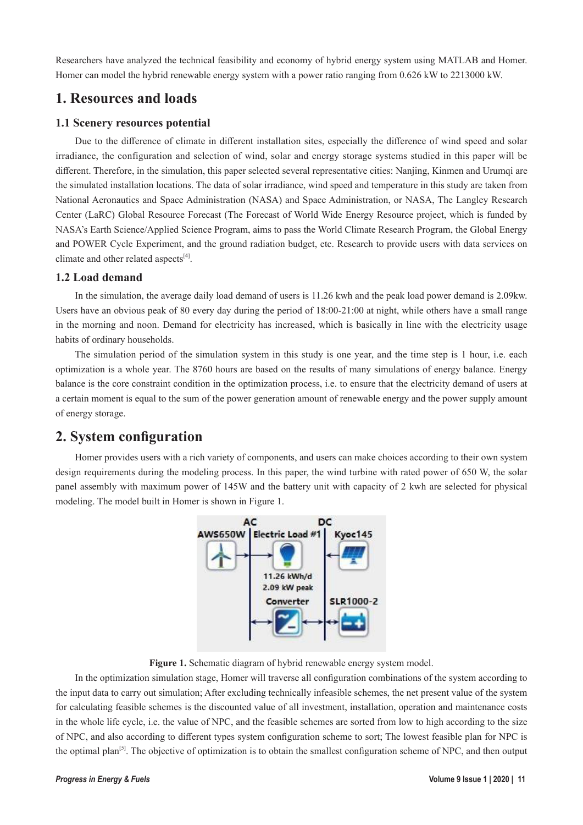Researchers have analyzed the technical feasibility and economy of hybrid energy system using MATLAB and Homer. Homer can model the hybrid renewable energy system with a power ratio ranging from 0.626 kW to 2213000 kW.

# **1. Resources and loads**

#### **1.1 Scenery resources potential**

Due to the difference of climate in different installation sites, especially the difference of wind speed and solar irradiance, the configuration and selection of wind, solar and energy storage systems studied in this paper will be different. Therefore, in the simulation, this paper selected several representative cities: Nanjing, Kinmen and Urumqi are the simulated installation locations. The data of solar irradiance, wind speed and temperature in this study are taken from National Aeronautics and Space Administration (NASA) and Space Administration, or NASA, The Langley Research Center (LaRC) Global Resource Forecast (The Forecast of World Wide Energy Resource project, which is funded by NASA's Earth Science/Applied Science Program, aims to pass the World Climate Research Program, the Global Energy and POWER Cycle Experiment, and the ground radiation budget, etc. Research to provide users with data services on climate and other related aspects $^{[4]}$ .

#### **1.2 Load demand**

In the simulation, the average daily load demand of users is 11.26 kwh and the peak load power demand is 2.09kw. Users have an obvious peak of 80 every day during the period of 18:00-21:00 at night, while others have a small range in the morning and noon. Demand for electricity has increased, which is basically in line with the electricity usage habits of ordinary households.

The simulation period of the simulation system in this study is one year, and the time step is 1 hour, i.e. each optimization is a whole year. The 8760 hours are based on the results of many simulations of energy balance. Energy balance is the core constraint condition in the optimization process, i.e. to ensure that the electricity demand of users at a certain moment is equal to the sum of the power generation amount of renewable energy and the power supply amount of energy storage.

## **2. System configuration**

Homer provides users with a rich variety of components, and users can make choices according to their own system design requirements during the modeling process. In this paper, the wind turbine with rated power of 650 W, the solar panel assembly with maximum power of 145W and the battery unit with capacity of 2 kwh are selected for physical modeling. The model built in Homer is shown in Figure 1.



**Figure 1.** Schematic diagram of hybrid renewable energy system model.

In the optimization simulation stage, Homer will traverse all configuration combinations of the system according to the input data to carry out simulation; After excluding technically infeasible schemes, the net present value of the system for calculating feasible schemes is the discounted value of all investment, installation, operation and maintenance costs in the whole life cycle, i.e. the value of NPC, and the feasible schemes are sorted from low to high according to the size of NPC, and also according to different types system configuration scheme to sort; The lowest feasible plan for NPC is the optimal plan<sup>[5]</sup>. The objective of optimization is to obtain the smallest configuration scheme of NPC, and then output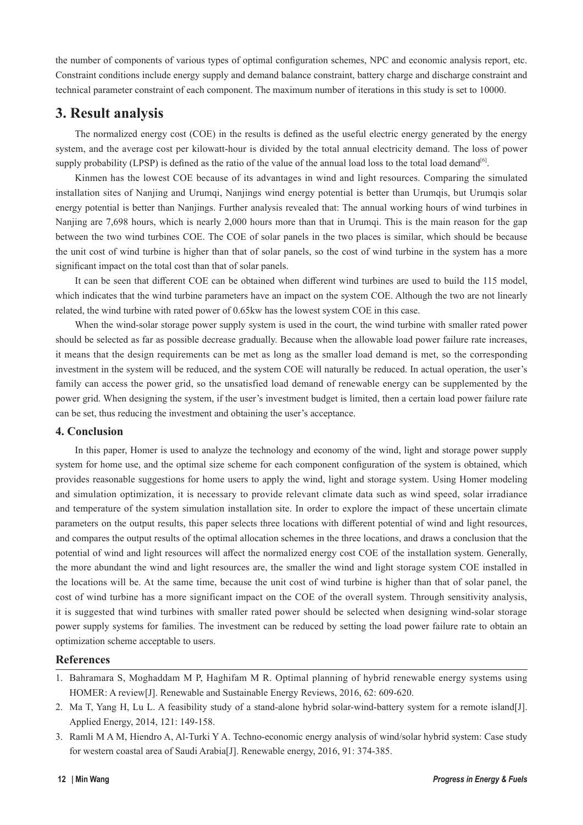the number of components of various types of optimal configuration schemes, NPC and economic analysis report, etc. Constraint conditions include energy supply and demand balance constraint, battery charge and discharge constraint and technical parameter constraint of each component. The maximum number of iterations in this study is set to 10000.

# **3. Result analysis**

The normalized energy cost (COE) in the results is defined as the useful electric energy generated by the energy system, and the average cost per kilowatt-hour is divided by the total annual electricity demand. The loss of power supply probability (LPSP) is defined as the ratio of the value of the annual load loss to the total load demand<sup>[6]</sup>.

Kinmen has the lowest COE because of its advantages in wind and light resources. Comparing the simulated installation sites of Nanjing and Urumqi, Nanjings wind energy potential is better than Urumqis, but Urumqis solar energy potential is better than Nanjings. Further analysis revealed that: The annual working hours of wind turbines in Nanjing are 7,698 hours, which is nearly 2,000 hours more than that in Urumqi. This is the main reason for the gap between the two wind turbines COE. The COE of solar panels in the two places is similar, which should be because the unit cost of wind turbine is higher than that of solar panels, so the cost of wind turbine in the system has a more significant impact on the total cost than that of solar panels.

It can be seen that different COE can be obtained when different wind turbines are used to build the 115 model, which indicates that the wind turbine parameters have an impact on the system COE. Although the two are not linearly related, the wind turbine with rated power of 0.65kw has the lowest system COE in this case.

When the wind-solar storage power supply system is used in the court, the wind turbine with smaller rated power should be selected as far as possible decrease gradually. Because when the allowable load power failure rate increases, it means that the design requirements can be met as long as the smaller load demand is met, so the corresponding investment in the system will be reduced, and the system COE will naturally be reduced. In actual operation, the user's family can access the power grid, so the unsatisfied load demand of renewable energy can be supplemented by the power grid. When designing the system, if the user's investment budget is limited, then a certain load power failure rate can be set, thus reducing the investment and obtaining the user's acceptance.

#### **4. Conclusion**

In this paper, Homer is used to analyze the technology and economy of the wind, light and storage power supply system for home use, and the optimal size scheme for each component configuration of the system is obtained, which provides reasonable suggestions for home users to apply the wind, light and storage system. Using Homer modeling and simulation optimization, it is necessary to provide relevant climate data such as wind speed, solar irradiance and temperature of the system simulation installation site. In order to explore the impact of these uncertain climate parameters on the output results, this paper selects three locations with different potential of wind and light resources, and compares the output results of the optimal allocation schemes in the three locations, and draws a conclusion that the potential of wind and light resources will affect the normalized energy cost COE of the installation system. Generally, the more abundant the wind and light resources are, the smaller the wind and light storage system COE installed in the locations will be. At the same time, because the unit cost of wind turbine is higher than that of solar panel, the cost of wind turbine has a more significant impact on the COE of the overall system. Through sensitivity analysis, it is suggested that wind turbines with smaller rated power should be selected when designing wind-solar storage power supply systems for families. The investment can be reduced by setting the load power failure rate to obtain an optimization scheme acceptable to users.

#### **References**

- 1. Bahramara S, Moghaddam M P, Haghifam M R. Optimal planning of hybrid renewable energy systems using HOMER: A review[J]. Renewable and Sustainable Energy Reviews, 2016, 62: 609-620.
- 2. Ma T, Yang H, Lu L. A feasibility study of a stand-alone hybrid solar-wind-battery system for a remote island[J]. Applied Energy, 2014, 121: 149-158.
- 3. Ramli M A M, Hiendro A, Al-Turki Y A. Techno-economic energy analysis of wind/solar hybrid system: Case study for western coastal area of Saudi Arabia[J]. Renewable energy, 2016, 91: 374-385.